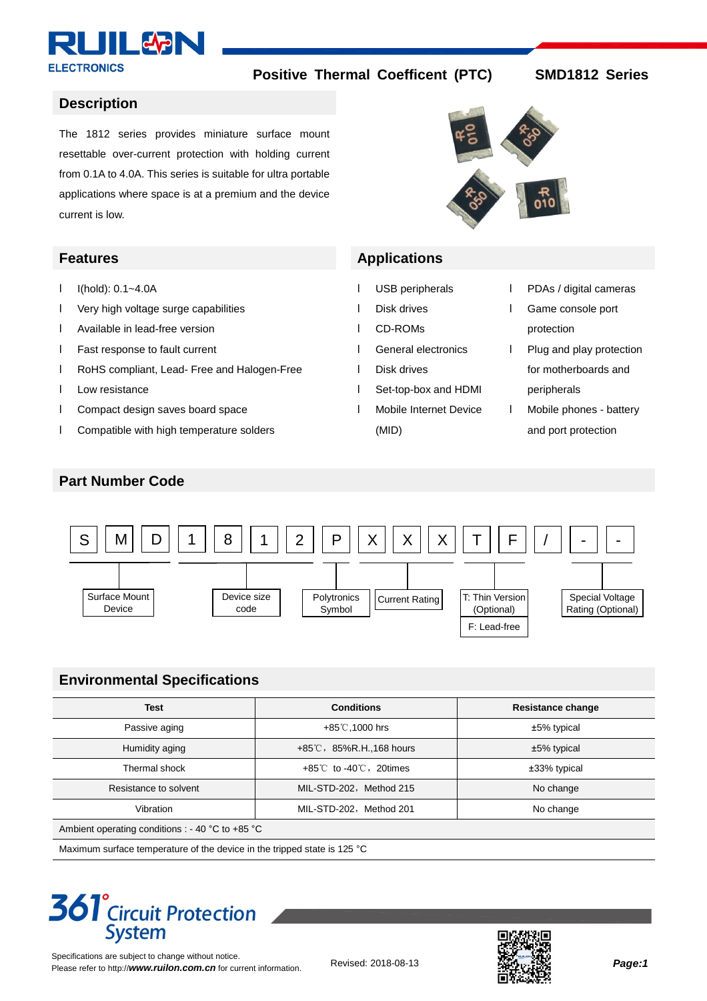

#### **Description**

 $I$   $I(hold): 0.1~-4.0A$ 

l Low resistance

l Very high voltage surge capabilities

l Compact design saves board space

l Compatible with high temperature solders

l RoHS compliant, Lead- Free and Halogen-Free

l Available in lead-free version l Fast response to fault current

The 1812 series provides miniature surface mount resettable over-current protection with holding current from 0.1A to 4.0A. This series is suitable for ultra portable applications where space is at a premium and the device current is low.



### **Features Applications**

- l USB peripherals
- l Disk drives
- l CD-ROMs
- l General electronics
- l Disk drives
- l Set-top-box and HDMI
- l Mobile Internet Device
	- (MID)
- l PDAs / digital cameras
- l Game console port protection
- l Plug and play protection for motherboards and peripherals
- l Mobile phones battery and port protection

## **Part Number Code**



# **Environmental Specifications**

| <b>Test</b>                                      | <b>Conditions</b>                          | <b>Resistance change</b> |  |  |  |  |
|--------------------------------------------------|--------------------------------------------|--------------------------|--|--|--|--|
| Passive aging                                    | +85°C,1000 hrs                             | ±5% typical              |  |  |  |  |
| Humidity aging                                   | $+85^{\circ}$ C, 85%R.H., 168 hours        | ±5% typical              |  |  |  |  |
| Thermal shock                                    | $+85^{\circ}$ to -40 $^{\circ}$ C, 20times | ±33% typical             |  |  |  |  |
| Resistance to solvent                            | MIL-STD-202, Method 215                    | No change                |  |  |  |  |
| Vibration                                        | MIL-STD-202, Method 201                    | No change                |  |  |  |  |
| Ambient operating conditions : - 40 °C to +85 °C |                                            |                          |  |  |  |  |

Maximum surface temperature of the device in the tripped state is 125 °C

# **361<sup>°</sup>Circuit Protection System**

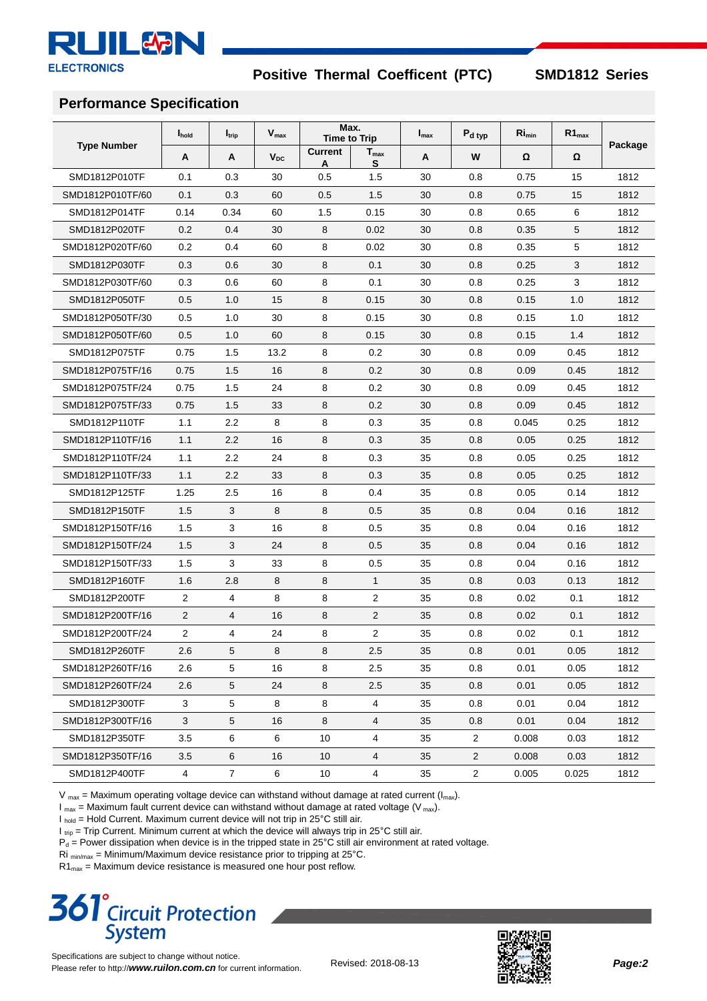

### **Performance Specification**

|                    | I <sub>hold</sub> | $I_{\text{trip}}$ | $V_{\text{max}}$ |                     | Max.<br><b>Time to Trip</b> | $I_{\text{max}}$ | $P_{d \, typ}$ | $Ri_{min}$ | $R1_{max}$ |         |
|--------------------|-------------------|-------------------|------------------|---------------------|-----------------------------|------------------|----------------|------------|------------|---------|
| <b>Type Number</b> | A                 | A                 | $V_{DC}$         | <b>Current</b><br>A | $T_{\text{max}}$<br>S       | A                | W              | Ω          | Ω          | Package |
| SMD1812P010TF      | 0.1               | 0.3               | 30               | 0.5                 | 1.5                         | 30               | 0.8            | 0.75       | 15         | 1812    |
| SMD1812P010TF/60   | 0.1               | 0.3               | 60               | 0.5                 | 1.5                         | 30               | 0.8            | 0.75       | 15         | 1812    |
| SMD1812P014TF      | 0.14              | 0.34              | 60               | 1.5                 | 0.15                        | 30               | 0.8            | 0.65       | 6          | 1812    |
| SMD1812P020TF      | 0.2               | 0.4               | 30               | 8                   | 0.02                        | 30               | 0.8            | 0.35       | 5          | 1812    |
| SMD1812P020TF/60   | 0.2               | 0.4               | 60               | 8                   | 0.02                        | 30               | 0.8            | 0.35       | 5          | 1812    |
| SMD1812P030TF      | 0.3               | 0.6               | 30               | 8                   | 0.1                         | 30               | 0.8            | 0.25       | 3          | 1812    |
| SMD1812P030TF/60   | 0.3               | 0.6               | 60               | 8                   | 0.1                         | 30               | 0.8            | 0.25       | 3          | 1812    |
| SMD1812P050TF      | 0.5               | 1.0               | 15               | 8                   | 0.15                        | 30               | 0.8            | 0.15       | 1.0        | 1812    |
| SMD1812P050TF/30   | 0.5               | 1.0               | 30               | 8                   | 0.15                        | 30               | 0.8            | 0.15       | 1.0        | 1812    |
| SMD1812P050TF/60   | 0.5               | 1.0               | 60               | 8                   | 0.15                        | 30               | 0.8            | 0.15       | 1.4        | 1812    |
| SMD1812P075TF      | 0.75              | 1.5               | 13.2             | 8                   | 0.2                         | 30               | 0.8            | 0.09       | 0.45       | 1812    |
| SMD1812P075TF/16   | 0.75              | 1.5               | 16               | 8                   | 0.2                         | 30               | 0.8            | 0.09       | 0.45       | 1812    |
| SMD1812P075TF/24   | 0.75              | 1.5               | 24               | 8                   | 0.2                         | 30               | 0.8            | 0.09       | 0.45       | 1812    |
| SMD1812P075TF/33   | 0.75              | 1.5               | 33               | 8                   | 0.2                         | 30               | 0.8            | 0.09       | 0.45       | 1812    |
| SMD1812P110TF      | 1.1               | 2.2               | 8                | 8                   | 0.3                         | 35               | 0.8            | 0.045      | 0.25       | 1812    |
| SMD1812P110TF/16   | 1.1               | 2.2               | 16               | 8                   | 0.3                         | 35               | 0.8            | 0.05       | 0.25       | 1812    |
| SMD1812P110TF/24   | 1.1               | 2.2               | 24               | 8                   | 0.3                         | 35               | 0.8            | 0.05       | 0.25       | 1812    |
| SMD1812P110TF/33   | 1.1               | 2.2               | 33               | 8                   | 0.3                         | 35               | 0.8            | 0.05       | 0.25       | 1812    |
| SMD1812P125TF      | 1.25              | 2.5               | 16               | 8                   | 0.4                         | 35               | 0.8            | 0.05       | 0.14       | 1812    |
| SMD1812P150TF      | 1.5               | 3                 | 8                | 8                   | 0.5                         | 35               | 0.8            | 0.04       | 0.16       | 1812    |
| SMD1812P150TF/16   | 1.5               | 3                 | 16               | 8                   | 0.5                         | 35               | 0.8            | 0.04       | 0.16       | 1812    |
| SMD1812P150TF/24   | 1.5               | 3                 | 24               | 8                   | 0.5                         | 35               | 0.8            | 0.04       | 0.16       | 1812    |
| SMD1812P150TF/33   | 1.5               | 3                 | 33               | 8                   | 0.5                         | 35               | 0.8            | 0.04       | 0.16       | 1812    |
| SMD1812P160TF      | 1.6               | 2.8               | 8                | 8                   | $\mathbf{1}$                | 35               | 0.8            | 0.03       | 0.13       | 1812    |
| SMD1812P200TF      | 2                 | 4                 | 8                | 8                   | 2                           | 35               | 0.8            | 0.02       | 0.1        | 1812    |
| SMD1812P200TF/16   | $\overline{2}$    | 4                 | 16               | 8                   | 2                           | 35               | 0.8            | 0.02       | 0.1        | 1812    |
| SMD1812P200TF/24   | 2                 | 4                 | 24               | 8                   | 2                           | 35               | 0.8            | 0.02       | 0.1        | 1812    |
| SMD1812P260TF      | 2.6               | 5                 | 8                | 8                   | 2.5                         | 35               | 0.8            | 0.01       | 0.05       | 1812    |
| SMD1812P260TF/16   | 2.6               | 5                 | 16               | 8                   | 2.5                         | 35               | 0.8            | 0.01       | 0.05       | 1812    |
| SMD1812P260TF/24   | 2.6               | 5                 | 24               | 8                   | 2.5                         | 35               | 0.8            | 0.01       | 0.05       | 1812    |
| SMD1812P300TF      | 3                 | 5                 | 8                | 8                   | $\overline{4}$              | 35               | 0.8            | 0.01       | 0.04       | 1812    |
| SMD1812P300TF/16   | 3                 | 5                 | 16               | 8                   | 4                           | 35               | 0.8            | 0.01       | 0.04       | 1812    |
| SMD1812P350TF      | 3.5               | 6                 | 6                | 10                  | $\overline{4}$              | 35               | $\overline{2}$ | 0.008      | 0.03       | 1812    |
| SMD1812P350TF/16   | 3.5               | 6                 | 16               | 10                  | 4                           | 35               | $\overline{2}$ | 0.008      | 0.03       | 1812    |
| SMD1812P400TF      | $\overline{4}$    | $\overline{7}$    | 6                | 10                  | $\overline{4}$              | 35               | $\overline{2}$ | 0.005      | 0.025      | 1812    |

 $V_{\text{max}}$  = Maximum operating voltage device can withstand without damage at rated current ( $I_{\text{max}}$ ).

 $I_{\text{max}}$  = Maximum fault current device can withstand without damage at rated voltage (V<sub>max</sub>).

 $I_{\text{hold}} =$  Hold Current. Maximum current device will not trip in 25°C still air.

 $I_{\text{trip}}$  = Trip Current. Minimum current at which the device will always trip in 25°C still air.

 $P_d =$  Power dissipation when device is in the tripped state in 25°C still air environment at rated voltage.

Ri  $_{\text{min/max}}$  = Minimum/Maximum device resistance prior to tripping at 25 $^{\circ}$ C.

 $R1_{\text{max}}$  = Maximum device resistance is measured one hour post reflow.

# **361**<sup>°</sup> Circuit Protection **System**

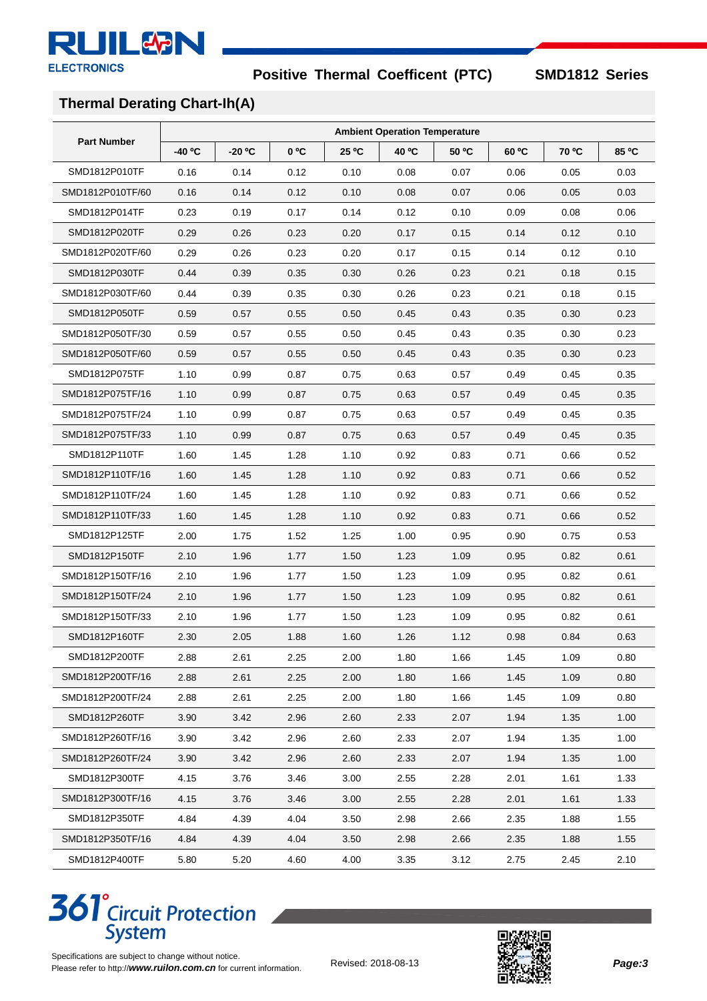

# **Thermal Derating Chart-Ih(A)**

|                    | <b>Ambient Operation Temperature</b> |          |      |       |       |       |       |       |       |
|--------------------|--------------------------------------|----------|------|-------|-------|-------|-------|-------|-------|
| <b>Part Number</b> | -40 °C                               | $-20 °C$ | 0 °C | 25 °C | 40 °C | 50 °C | 60 °C | 70 °C | 85 °C |
| SMD1812P010TF      | 0.16                                 | 0.14     | 0.12 | 0.10  | 0.08  | 0.07  | 0.06  | 0.05  | 0.03  |
| SMD1812P010TF/60   | 0.16                                 | 0.14     | 0.12 | 0.10  | 0.08  | 0.07  | 0.06  | 0.05  | 0.03  |
| SMD1812P014TF      | 0.23                                 | 0.19     | 0.17 | 0.14  | 0.12  | 0.10  | 0.09  | 0.08  | 0.06  |
| SMD1812P020TF      | 0.29                                 | 0.26     | 0.23 | 0.20  | 0.17  | 0.15  | 0.14  | 0.12  | 0.10  |
| SMD1812P020TF/60   | 0.29                                 | 0.26     | 0.23 | 0.20  | 0.17  | 0.15  | 0.14  | 0.12  | 0.10  |
| SMD1812P030TF      | 0.44                                 | 0.39     | 0.35 | 0.30  | 0.26  | 0.23  | 0.21  | 0.18  | 0.15  |
| SMD1812P030TF/60   | 0.44                                 | 0.39     | 0.35 | 0.30  | 0.26  | 0.23  | 0.21  | 0.18  | 0.15  |
| SMD1812P050TF      | 0.59                                 | 0.57     | 0.55 | 0.50  | 0.45  | 0.43  | 0.35  | 0.30  | 0.23  |
| SMD1812P050TF/30   | 0.59                                 | 0.57     | 0.55 | 0.50  | 0.45  | 0.43  | 0.35  | 0.30  | 0.23  |
| SMD1812P050TF/60   | 0.59                                 | 0.57     | 0.55 | 0.50  | 0.45  | 0.43  | 0.35  | 0.30  | 0.23  |
| SMD1812P075TF      | 1.10                                 | 0.99     | 0.87 | 0.75  | 0.63  | 0.57  | 0.49  | 0.45  | 0.35  |
| SMD1812P075TF/16   | 1.10                                 | 0.99     | 0.87 | 0.75  | 0.63  | 0.57  | 0.49  | 0.45  | 0.35  |
| SMD1812P075TF/24   | 1.10                                 | 0.99     | 0.87 | 0.75  | 0.63  | 0.57  | 0.49  | 0.45  | 0.35  |
| SMD1812P075TF/33   | 1.10                                 | 0.99     | 0.87 | 0.75  | 0.63  | 0.57  | 0.49  | 0.45  | 0.35  |
| SMD1812P110TF      | 1.60                                 | 1.45     | 1.28 | 1.10  | 0.92  | 0.83  | 0.71  | 0.66  | 0.52  |
| SMD1812P110TF/16   | 1.60                                 | 1.45     | 1.28 | 1.10  | 0.92  | 0.83  | 0.71  | 0.66  | 0.52  |
| SMD1812P110TF/24   | 1.60                                 | 1.45     | 1.28 | 1.10  | 0.92  | 0.83  | 0.71  | 0.66  | 0.52  |
| SMD1812P110TF/33   | 1.60                                 | 1.45     | 1.28 | 1.10  | 0.92  | 0.83  | 0.71  | 0.66  | 0.52  |
| SMD1812P125TF      | 2.00                                 | 1.75     | 1.52 | 1.25  | 1.00  | 0.95  | 0.90  | 0.75  | 0.53  |
| SMD1812P150TF      | 2.10                                 | 1.96     | 1.77 | 1.50  | 1.23  | 1.09  | 0.95  | 0.82  | 0.61  |
| SMD1812P150TF/16   | 2.10                                 | 1.96     | 1.77 | 1.50  | 1.23  | 1.09  | 0.95  | 0.82  | 0.61  |
| SMD1812P150TF/24   | 2.10                                 | 1.96     | 1.77 | 1.50  | 1.23  | 1.09  | 0.95  | 0.82  | 0.61  |
| SMD1812P150TF/33   | 2.10                                 | 1.96     | 1.77 | 1.50  | 1.23  | 1.09  | 0.95  | 0.82  | 0.61  |
| SMD1812P160TF      | 2.30                                 | 2.05     | 1.88 | 1.60  | 1.26  | 1.12  | 0.98  | 0.84  | 0.63  |
| SMD1812P200TF      | 2.88                                 | 2.61     | 2.25 | 2.00  | 1.80  | 1.66  | 1.45  | 1.09  | 0.80  |
| SMD1812P200TF/16   | 2.88                                 | 2.61     | 2.25 | 2.00  | 1.80  | 1.66  | 1.45  | 1.09  | 0.80  |
| SMD1812P200TF/24   | 2.88                                 | 2.61     | 2.25 | 2.00  | 1.80  | 1.66  | 1.45  | 1.09  | 0.80  |
| SMD1812P260TF      | 3.90                                 | 3.42     | 2.96 | 2.60  | 2.33  | 2.07  | 1.94  | 1.35  | 1.00  |
| SMD1812P260TF/16   | 3.90                                 | 3.42     | 2.96 | 2.60  | 2.33  | 2.07  | 1.94  | 1.35  | 1.00  |
| SMD1812P260TF/24   | 3.90                                 | 3.42     | 2.96 | 2.60  | 2.33  | 2.07  | 1.94  | 1.35  | 1.00  |
| SMD1812P300TF      | 4.15                                 | 3.76     | 3.46 | 3.00  | 2.55  | 2.28  | 2.01  | 1.61  | 1.33  |
| SMD1812P300TF/16   | 4.15                                 | 3.76     | 3.46 | 3.00  | 2.55  | 2.28  | 2.01  | 1.61  | 1.33  |
| SMD1812P350TF      | 4.84                                 | 4.39     | 4.04 | 3.50  | 2.98  | 2.66  | 2.35  | 1.88  | 1.55  |
| SMD1812P350TF/16   | 4.84                                 | 4.39     | 4.04 | 3.50  | 2.98  | 2.66  | 2.35  | 1.88  | 1.55  |
| SMD1812P400TF      | 5.80                                 | 5.20     | 4.60 | 4.00  | 3.35  | 3.12  | 2.75  | 2.45  | 2.10  |

# **361<sup>°</sup>** Circuit Protection<br>System



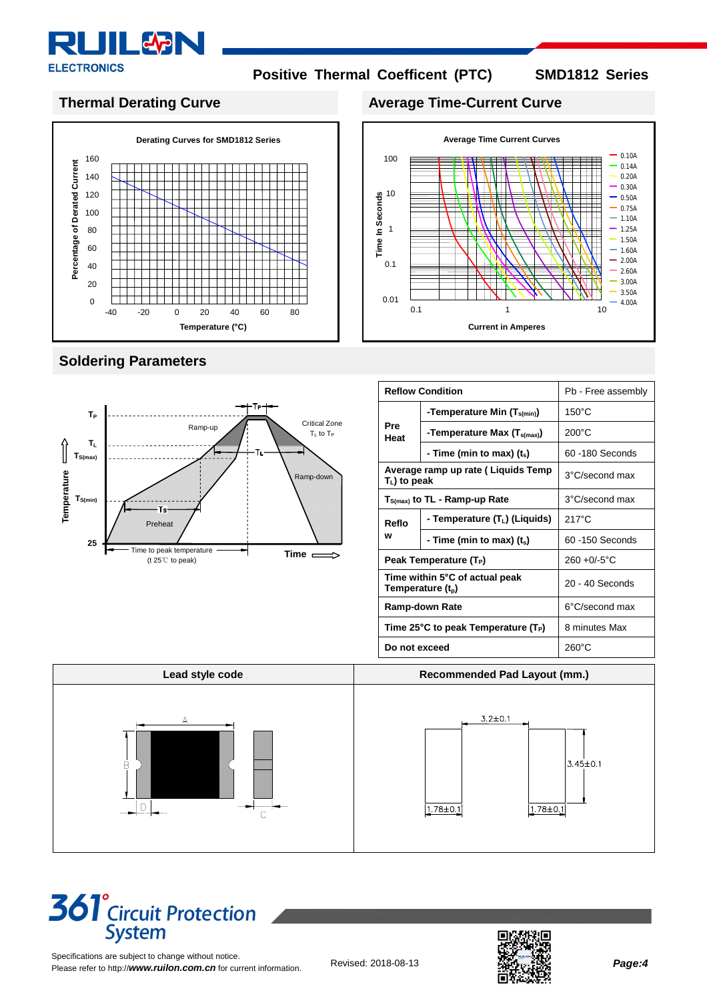

**Time In Seconds**

100

10

1

0.1

0.01

0.10A 0.14A 0.20A 0.30A 0.50A 0.75A 1.10A 1.25A 1.50A 1.60A 2.00A 2.60A 3.00A  $-3.50A$ 4.00A

# **Thermal Derating Curve Average Time-Current Curve**



# **Soldering Parameters**



### **Reflow Condition Pb** - Free assembly **Pre Heat -Temperature Min (Ts(min))** 150°C **-Temperature Max (Ts(max))** 200°C **- Time (min to max) (ts)** 60 -180 Seconds **Average ramp up rate ( Liquids Temp <sup>T</sup>L) to peak** 3°C/second max **TS(max) to TL - Ramp-up Rate** 3°C/second max **Reflo w - Temperature (TL) (Liquids)** 217°C **- Time (min to max) (ts)** 60 -150 Seconds **Peak Temperature (T<sub>P</sub>)**  $\left| \right. 260 + 0.6^{\circ} \text{C}$ **Time within 5°C of actual peak Temperature** (t<sub>p</sub>) **Temperature** (t<sub>p</sub>) **Properature** (t<sub>p</sub>) **Properature** (t<sub>p</sub>) **Ramp-down Rate Ramp-down Rate Ramp-down Rate Ramp-down Rate Ramp-down Rate Ramp-down Rate Ramp-down Rate Ramp-down Rate Ramp-down Rate Ramp-down Rate Ramp-down Rate Ramp-down Rate Ramp-down Rate Time 25°C to peak Temperature (TP)** 8 minutes Max **Do not exceed** 260°C

**Current in Amperes** 

0.1 1 10

**Average Time Current Curves** 



# **361<sup>°</sup>**Circuit Protection **System**

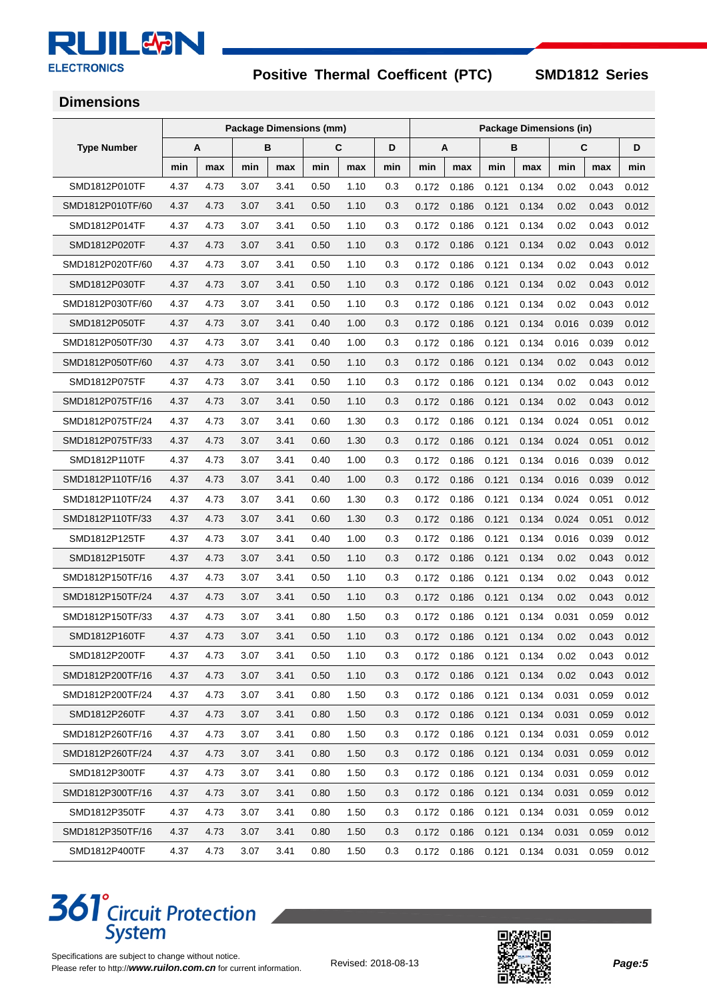#### **RLIIL&N** k **ELECTRONICS**

**Positive Thermal Coefficent (PTC) SMD1812 Series** 

# **Dimensions**

|                    | <b>Package Dimensions (mm)</b> |      |      |      | <b>Package Dimensions (in)</b> |      |     |        |       |       |       |       |       |       |
|--------------------|--------------------------------|------|------|------|--------------------------------|------|-----|--------|-------|-------|-------|-------|-------|-------|
| <b>Type Number</b> |                                | A    |      | В    |                                | C    | D   | B<br>A |       |       |       | С     | D     |       |
|                    | min                            | max  | min  | max  | min                            | max  | min | min    | max   | min   | max   | min   | max   | min   |
| SMD1812P010TF      | 4.37                           | 4.73 | 3.07 | 3.41 | 0.50                           | 1.10 | 0.3 | 0.172  | 0.186 | 0.121 | 0.134 | 0.02  | 0.043 | 0.012 |
| SMD1812P010TF/60   | 4.37                           | 4.73 | 3.07 | 3.41 | 0.50                           | 1.10 | 0.3 | 0.172  | 0.186 | 0.121 | 0.134 | 0.02  | 0.043 | 0.012 |
| SMD1812P014TF      | 4.37                           | 4.73 | 3.07 | 3.41 | 0.50                           | 1.10 | 0.3 | 0.172  | 0.186 | 0.121 | 0.134 | 0.02  | 0.043 | 0.012 |
| SMD1812P020TF      | 4.37                           | 4.73 | 3.07 | 3.41 | 0.50                           | 1.10 | 0.3 | 0.172  | 0.186 | 0.121 | 0.134 | 0.02  | 0.043 | 0.012 |
| SMD1812P020TF/60   | 4.37                           | 4.73 | 3.07 | 3.41 | 0.50                           | 1.10 | 0.3 | 0.172  | 0.186 | 0.121 | 0.134 | 0.02  | 0.043 | 0.012 |
| SMD1812P030TF      | 4.37                           | 4.73 | 3.07 | 3.41 | 0.50                           | 1.10 | 0.3 | 0.172  | 0.186 | 0.121 | 0.134 | 0.02  | 0.043 | 0.012 |
| SMD1812P030TF/60   | 4.37                           | 4.73 | 3.07 | 3.41 | 0.50                           | 1.10 | 0.3 | 0.172  | 0.186 | 0.121 | 0.134 | 0.02  | 0.043 | 0.012 |
| SMD1812P050TF      | 4.37                           | 4.73 | 3.07 | 3.41 | 0.40                           | 1.00 | 0.3 | 0.172  | 0.186 | 0.121 | 0.134 | 0.016 | 0.039 | 0.012 |
| SMD1812P050TF/30   | 4.37                           | 4.73 | 3.07 | 3.41 | 0.40                           | 1.00 | 0.3 | 0.172  | 0.186 | 0.121 | 0.134 | 0.016 | 0.039 | 0.012 |
| SMD1812P050TF/60   | 4.37                           | 4.73 | 3.07 | 3.41 | 0.50                           | 1.10 | 0.3 | 0.172  | 0.186 | 0.121 | 0.134 | 0.02  | 0.043 | 0.012 |
| SMD1812P075TF      | 4.37                           | 4.73 | 3.07 | 3.41 | 0.50                           | 1.10 | 0.3 | 0.172  | 0.186 | 0.121 | 0.134 | 0.02  | 0.043 | 0.012 |
| SMD1812P075TF/16   | 4.37                           | 4.73 | 3.07 | 3.41 | 0.50                           | 1.10 | 0.3 | 0.172  | 0.186 | 0.121 | 0.134 | 0.02  | 0.043 | 0.012 |
| SMD1812P075TF/24   | 4.37                           | 4.73 | 3.07 | 3.41 | 0.60                           | 1.30 | 0.3 | 0.172  | 0.186 | 0.121 | 0.134 | 0.024 | 0.051 | 0.012 |
| SMD1812P075TF/33   | 4.37                           | 4.73 | 3.07 | 3.41 | 0.60                           | 1.30 | 0.3 | 0.172  | 0.186 | 0.121 | 0.134 | 0.024 | 0.051 | 0.012 |
| SMD1812P110TF      | 4.37                           | 4.73 | 3.07 | 3.41 | 0.40                           | 1.00 | 0.3 | 0.172  | 0.186 | 0.121 | 0.134 | 0.016 | 0.039 | 0.012 |
| SMD1812P110TF/16   | 4.37                           | 4.73 | 3.07 | 3.41 | 0.40                           | 1.00 | 0.3 | 0.172  | 0.186 | 0.121 | 0.134 | 0.016 | 0.039 | 0.012 |
| SMD1812P110TF/24   | 4.37                           | 4.73 | 3.07 | 3.41 | 0.60                           | 1.30 | 0.3 | 0.172  | 0.186 | 0.121 | 0.134 | 0.024 | 0.051 | 0.012 |
| SMD1812P110TF/33   | 4.37                           | 4.73 | 3.07 | 3.41 | 0.60                           | 1.30 | 0.3 | 0.172  | 0.186 | 0.121 | 0.134 | 0.024 | 0.051 | 0.012 |
| SMD1812P125TF      | 4.37                           | 4.73 | 3.07 | 3.41 | 0.40                           | 1.00 | 0.3 | 0.172  | 0.186 | 0.121 | 0.134 | 0.016 | 0.039 | 0.012 |
| SMD1812P150TF      | 4.37                           | 4.73 | 3.07 | 3.41 | 0.50                           | 1.10 | 0.3 | 0.172  | 0.186 | 0.121 | 0.134 | 0.02  | 0.043 | 0.012 |
| SMD1812P150TF/16   | 4.37                           | 4.73 | 3.07 | 3.41 | 0.50                           | 1.10 | 0.3 | 0.172  | 0.186 | 0.121 | 0.134 | 0.02  | 0.043 | 0.012 |
| SMD1812P150TF/24   | 4.37                           | 4.73 | 3.07 | 3.41 | 0.50                           | 1.10 | 0.3 | 0.172  | 0.186 | 0.121 | 0.134 | 0.02  | 0.043 | 0.012 |
| SMD1812P150TF/33   | 4.37                           | 4.73 | 3.07 | 3.41 | 0.80                           | 1.50 | 0.3 | 0.172  | 0.186 | 0.121 | 0.134 | 0.031 | 0.059 | 0.012 |
| SMD1812P160TF      | 4.37                           | 4.73 | 3.07 | 3.41 | 0.50                           | 1.10 | 0.3 | 0.172  | 0.186 | 0.121 | 0.134 | 0.02  | 0.043 | 0.012 |
| SMD1812P200TF      | 4.37                           | 4.73 | 3.07 | 3.41 | 0.50                           | 1.10 | 0.3 | 0.172  | 0.186 | 0.121 | 0.134 | 0.02  | 0.043 | 0.012 |
| SMD1812P200TF/16   | 4.37                           | 4.73 | 3.07 | 3.41 | 0.50                           | 1.10 | 0.3 | 0.172  | 0.186 | 0.121 | 0.134 | 0.02  | 0.043 | 0.012 |
| SMD1812P200TF/24   | 4.37                           | 4.73 | 3.07 | 3.41 | 0.80                           | 1.50 | 0.3 | 0.172  | 0.186 | 0.121 | 0.134 | 0.031 | 0.059 | 0.012 |
| SMD1812P260TF      | 4.37                           | 4.73 | 3.07 | 3.41 | 0.80                           | 1.50 | 0.3 | 0.172  | 0.186 | 0.121 | 0.134 | 0.031 | 0.059 | 0.012 |
| SMD1812P260TF/16   | 4.37                           | 4.73 | 3.07 | 3.41 | 0.80                           | 1.50 | 0.3 | 0.172  | 0.186 | 0.121 | 0.134 | 0.031 | 0.059 | 0.012 |
| SMD1812P260TF/24   | 4.37                           | 4.73 | 3.07 | 3.41 | 0.80                           | 1.50 | 0.3 | 0.172  | 0.186 | 0.121 | 0.134 | 0.031 | 0.059 | 0.012 |
| SMD1812P300TF      | 4.37                           | 4.73 | 3.07 | 3.41 | 0.80                           | 1.50 | 0.3 | 0.172  | 0.186 | 0.121 | 0.134 | 0.031 | 0.059 | 0.012 |
| SMD1812P300TF/16   | 4.37                           | 4.73 | 3.07 | 3.41 | 0.80                           | 1.50 | 0.3 | 0.172  | 0.186 | 0.121 | 0.134 | 0.031 | 0.059 | 0.012 |
| SMD1812P350TF      | 4.37                           | 4.73 | 3.07 | 3.41 | 0.80                           | 1.50 | 0.3 | 0.172  | 0.186 | 0.121 | 0.134 | 0.031 | 0.059 | 0.012 |
| SMD1812P350TF/16   | 4.37                           | 4.73 | 3.07 | 3.41 | 0.80                           | 1.50 | 0.3 | 0.172  | 0.186 | 0.121 | 0.134 | 0.031 | 0.059 | 0.012 |
| SMD1812P400TF      | 4.37                           | 4.73 | 3.07 | 3.41 | 0.80                           | 1.50 | 0.3 | 0.172  | 0.186 | 0.121 | 0.134 | 0.031 | 0.059 | 0.012 |

# **361**<sup>°</sup> Circuit Protection<br>System